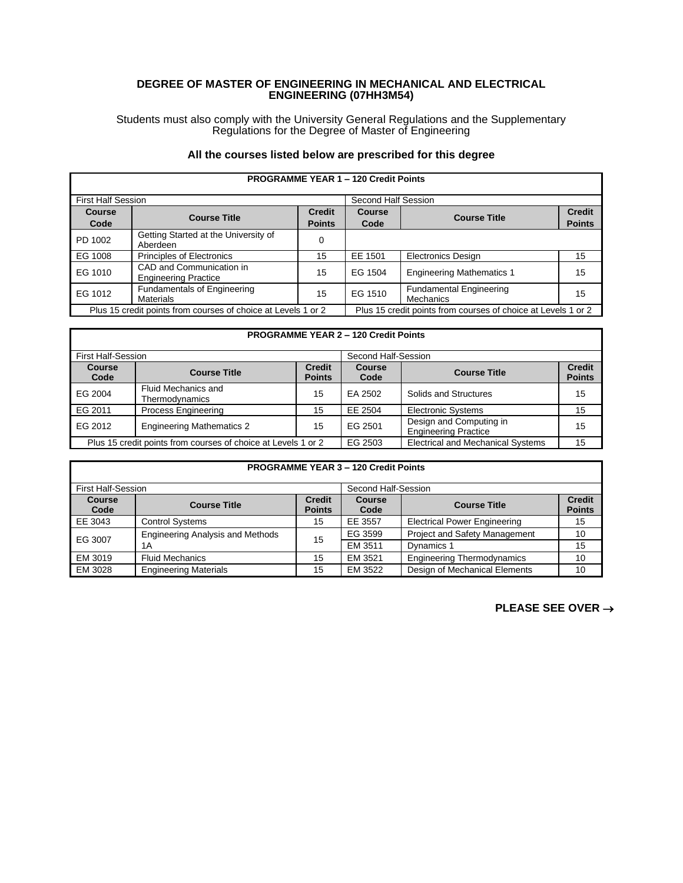## **DEGREE OF MASTER OF ENGINEERING IN MECHANICAL AND ELECTRICAL ENGINEERING (07HH3M54)**

Students must also comply with the University General Regulations and the Supplementary Regulations for the Degree of Master of Engineering

## **All the courses listed below are prescribed for this degree**

| <b>PROGRAMME YEAR 1 - 120 Credit Points</b>                   |                                                         |                                                               |                       |                                             |                                |  |
|---------------------------------------------------------------|---------------------------------------------------------|---------------------------------------------------------------|-----------------------|---------------------------------------------|--------------------------------|--|
| <b>First Half Session</b>                                     |                                                         |                                                               | Second Half Session   |                                             |                                |  |
| <b>Course</b><br>Code                                         | <b>Course Title</b>                                     | <b>Credit</b><br><b>Points</b>                                | <b>Course</b><br>Code | <b>Course Title</b>                         | <b>Credit</b><br><b>Points</b> |  |
| PD 1002                                                       | Getting Started at the University of<br>Aberdeen        | $\Omega$                                                      |                       |                                             |                                |  |
| EG 1008                                                       | <b>Principles of Electronics</b>                        | 15                                                            | EE 1501               | <b>Electronics Design</b>                   | 15                             |  |
| EG 1010                                                       | CAD and Communication in<br><b>Engineering Practice</b> | 15                                                            | EG 1504               | <b>Engineering Mathematics 1</b>            | 15                             |  |
| EG 1012                                                       | Fundamentals of Engineering<br><b>Materials</b>         | 15                                                            | EG 1510               | <b>Fundamental Engineering</b><br>Mechanics | 15                             |  |
| Plus 15 credit points from courses of choice at Levels 1 or 2 |                                                         | Plus 15 credit points from courses of choice at Levels 1 or 2 |                       |                                             |                                |  |

## **PROGRAMME YEAR 2 – 120 Credit Points** First Half-Session Second Half-Session<br> **Course Course Second Half-Session**<br> **Credit Course Course Second Half-Session Course Course Title Points Course Code Course Title Credit Points** EG 2004 Fluid Mechanics and Process Engineering 15 EA 2502 Solids and Structures 15<br>Process Engineering 15 EE 2504 Electronic Systems 15 EG 2011 Process Engineering EG 2012 Engineering Mathematics 2 15 EG 2501 Design and Computing in Engineering Practice 15<br>
Engineering Practice 15<br>
Electrical and Mechanical Systems 15

Plus 15 credit points from courses of choice at Levels 1 or 2 EG 2503

| <b>PROGRAMME YEAR 3 - 120 Credit Points</b> |                                               |                                |                     |                                      |                                |  |
|---------------------------------------------|-----------------------------------------------|--------------------------------|---------------------|--------------------------------------|--------------------------------|--|
| <b>First Half-Session</b>                   |                                               |                                | Second Half-Session |                                      |                                |  |
| <b>Course</b><br>Code                       | <b>Course Title</b>                           | <b>Credit</b><br><b>Points</b> | Course<br>Code      | <b>Course Title</b>                  | <b>Credit</b><br><b>Points</b> |  |
| EE 3043                                     | <b>Control Systems</b>                        | 15                             | EE 3557             | <b>Electrical Power Engineering</b>  | 15                             |  |
| EG 3007                                     | <b>Engineering Analysis and Methods</b><br>1A | 15                             | EG 3599             | <b>Project and Safety Management</b> | 10                             |  |
|                                             |                                               |                                | EM 3511             | Dynamics 1                           | 15                             |  |
| EM 3019                                     | <b>Fluid Mechanics</b>                        | 15                             | EM 3521             | <b>Engineering Thermodynamics</b>    | 10                             |  |
| EM 3028                                     | <b>Engineering Materials</b>                  | 15                             | EM 3522             | Design of Mechanical Elements        | 10                             |  |

**PLEASE SEE OVER** →